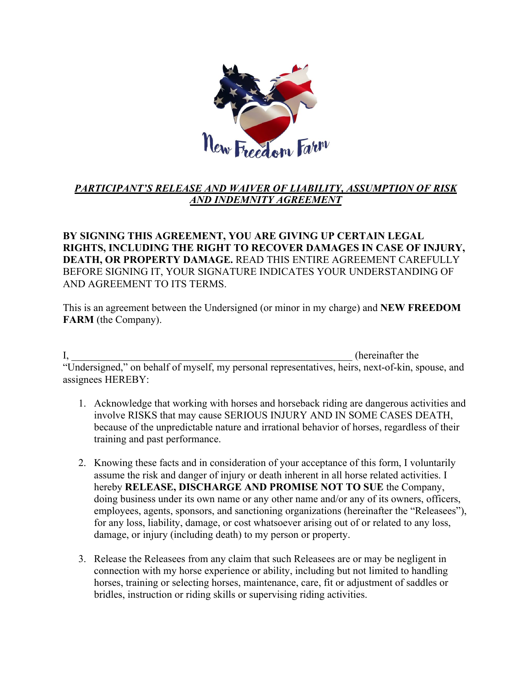

## PARTICIPANT'S RELEASE AND WAIVER OF LIABILITY, ASSUMPTION OF RISK *AND INDEMNITY AGREEMENT*

## **BY SIGNING THIS AGREEMENT, YOU ARE GIVING UP CERTAIN LEGAL RIGHTS, INCLUDING THE RIGHT TO RECOVER DAMAGES IN CASE OF INJURY, DEATH, OR PROPERTY DAMAGE.** READ THIS ENTIRE AGREEMENT CAREFULLY BEFORE SIGNING IT, YOUR SIGNATURE INDICATES YOUR UNDERSTANDING OF AND AGREEMENT TO ITS TERMS.

This is an agreement between the Undersigned (or minor in my charge) and **NEW FREEDOM FARM** (the Company).

I, the contract of the contract of the contract of the contract of the contract of the contract of the contract of the contract of the contract of the contract of the contract of the contract of the contract of the contrac

"Undersigned," on behalf of myself, my personal representatives, heirs, next-of-kin, spouse, and assignees HEREBY:

- 1. Acknowledge that working with horses and horseback riding are dangerous activities and involve RISKS that may cause SERIOUS INJURY AND IN SOME CASES DEATH, because of the unpredictable nature and irrational behavior of horses, regardless of their training and past performance.
- 2. Knowing these facts and in consideration of your acceptance of this form, I voluntarily assume the risk and danger of injury or death inherent in all horse related activities. I hereby **RELEASE, DISCHARGE AND PROMISE NOT TO SUE** the Company, doing business under its own name or any other name and/or any of its owners, officers, employees, agents, sponsors, and sanctioning organizations (hereinafter the "Releasees"), for any loss, liability, damage, or cost whatsoever arising out of or related to any loss, damage, or injury (including death) to my person or property.
- 3. Release the Releasees from any claim that such Releasees are or may be negligent in connection with my horse experience or ability, including but not limited to handling horses, training or selecting horses, maintenance, care, fit or adjustment of saddles or bridles, instruction or riding skills or supervising riding activities.